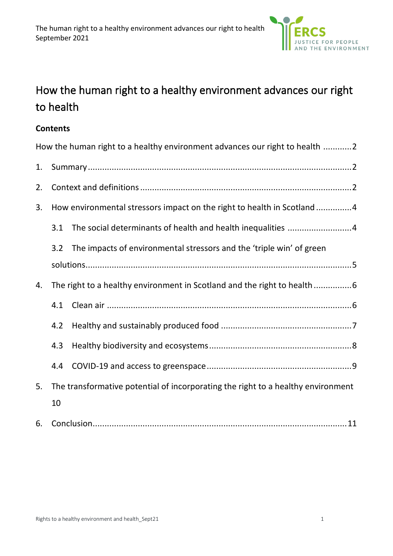

# How the human right to a healthy environment advances our right to health

#### **Contents**

|    |                                                                                  | How the human right to a healthy environment advances our right to health 2 |
|----|----------------------------------------------------------------------------------|-----------------------------------------------------------------------------|
| 1. |                                                                                  |                                                                             |
| 2. |                                                                                  |                                                                             |
| 3. | How environmental stressors impact on the right to health in Scotland4           |                                                                             |
|    | 3.1                                                                              |                                                                             |
|    | 3.2                                                                              | The impacts of environmental stressors and the 'triple win' of green        |
|    |                                                                                  |                                                                             |
| 4. | The right to a healthy environment in Scotland and the right to health           |                                                                             |
|    | 4.1                                                                              |                                                                             |
|    | 4.2                                                                              |                                                                             |
|    | 4.3                                                                              |                                                                             |
|    | 4.4                                                                              |                                                                             |
| 5. | The transformative potential of incorporating the right to a healthy environment |                                                                             |
|    | 10                                                                               |                                                                             |
| 6. |                                                                                  |                                                                             |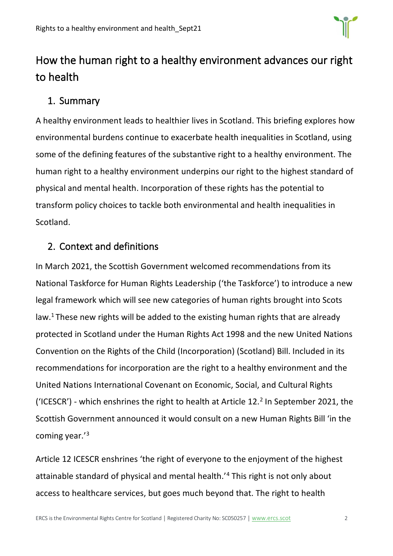

# <span id="page-1-0"></span>How the human right to a healthy environment advances our right to health

## <span id="page-1-1"></span>1. Summary

A healthy environment leads to healthier lives in Scotland. This briefing explores how environmental burdens continue to exacerbate health inequalities in Scotland, using some of the defining features of the substantive right to a healthy environment. The human right to a healthy environment underpins our right to the highest standard of physical and mental health. Incorporation of these rights has the potential to transform policy choices to tackle both environmental and health inequalities in Scotland.

## <span id="page-1-2"></span>2. Context and definitions

In March 2021, the Scottish Government welcomed recommendations from its National Taskforce for Human Rights Leadership ('the Taskforce') to introduce a new legal framework which will see new categories of human rights brought into Scots law.<sup>1</sup> These new rights will be added to the existing human rights that are already protected in Scotland under the Human Rights Act 1998 and the new United Nations Convention on the Rights of the Child (Incorporation) (Scotland) Bill. Included in its recommendations for incorporation are the right to a healthy environment and the United Nations International Covenant on Economic, Social, and Cultural Rights ('ICESCR') - which enshrines the right to health at Article  $12.^2$  In September 2021, the Scottish Government announced it would consult on a new Human Rights Bill 'in the coming year.'<sup>3</sup>

Article 12 ICESCR enshrines 'the right of everyone to the enjoyment of the highest attainable standard of physical and mental health.'<sup>4</sup> This right is not only about access to healthcare services, but goes much beyond that. The right to health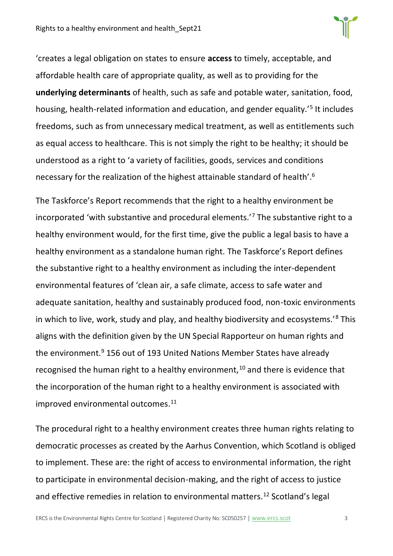'creates a legal obligation on states to ensure **access** to timely, acceptable, and affordable health care of appropriate quality, as well as to providing for the **underlying determinants** of health, such as safe and potable water, sanitation, food, housing, health-related information and education, and gender equality.<sup>'5</sup> It includes freedoms, such as from unnecessary medical treatment, as well as entitlements such as equal access to healthcare. This is not simply the right to be healthy; it should be understood as a right to 'a variety of facilities, goods, services and conditions necessary for the realization of the highest attainable standard of health'. 6

The Taskforce's Report recommends that the right to a healthy environment be incorporated 'with substantive and procedural elements.'<sup>7</sup> The substantive right to a healthy environment would, for the first time, give the public a legal basis to have a healthy environment as a standalone human right. The Taskforce's Report defines the substantive right to a healthy environment as including the inter-dependent environmental features of 'clean air, a safe climate, access to safe water and adequate sanitation, healthy and sustainably produced food, non-toxic environments in which to live, work, study and play, and healthy biodiversity and ecosystems.'<sup>8</sup> This aligns with the definition given by the UN Special Rapporteur on human rights and the environment.<sup>9</sup> 156 out of 193 United Nations Member States have already recognised the human right to a healthy environment, $10$  and there is evidence that the incorporation of the human right to a healthy environment is associated with improved environmental outcomes.<sup>11</sup>

The procedural right to a healthy environment creates three human rights relating to democratic processes as created by the Aarhus Convention, which Scotland is obliged to implement. These are: the right of access to environmental information, the right to participate in environmental decision-making, and the right of access to justice and effective remedies in relation to environmental matters.<sup>12</sup> Scotland's legal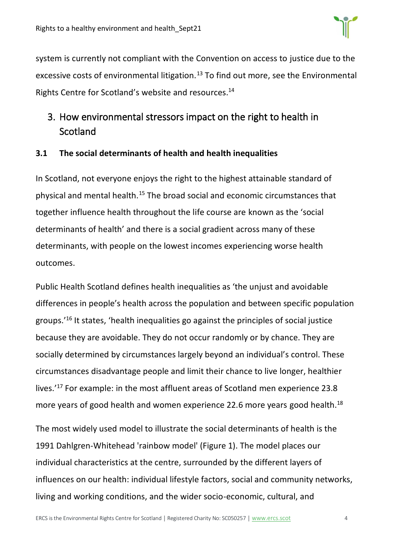system is currently not compliant with the Convention on access to justice due to the excessive costs of environmental litigation.<sup>13</sup> To find out more, see the Environmental Rights Centre for Scotland's website and resources.<sup>14</sup>

# <span id="page-3-0"></span>3. How environmental stressors impact on the right to health in Scotland

#### <span id="page-3-1"></span>**3.1 The social determinants of health and health inequalities**

In Scotland, not everyone enjoys the right to the highest attainable standard of physical and mental health.<sup>15</sup> The broad social and economic circumstances that together influence health throughout the life course are known as the 'social determinants of health' and there is a social gradient across many of these determinants, with people on the lowest incomes experiencing worse health outcomes.

Public Health Scotland defines health inequalities as 'the unjust and avoidable differences in people's health across the population and between specific population groups.'<sup>16</sup> It states, 'health inequalities go against the principles of social justice because they are avoidable. They do not occur randomly or by chance. They are socially determined by circumstances largely beyond an individual's control. These circumstances disadvantage people and limit their chance to live longer, healthier lives.'<sup>17</sup> For example: in the most affluent areas of Scotland men experience 23.8 more years of good health and women experience 22.6 more years good health. 18

The most widely used model to illustrate the social determinants of health is the 1991 Dahlgren-Whitehead 'rainbow model' (Figure 1). The model places our individual characteristics at the centre, surrounded by the different layers of influences on our health: individual lifestyle factors, social and community networks, living and working conditions, and the wider socio-economic, cultural, and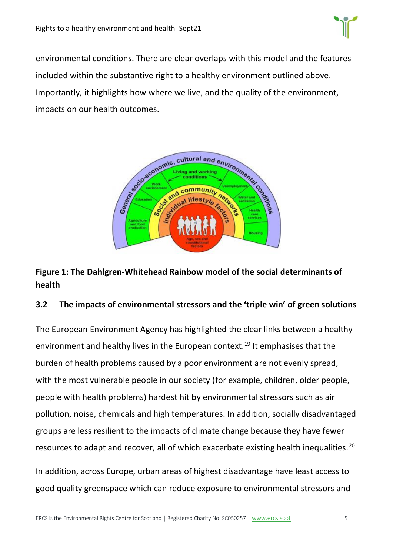

environmental conditions. There are clear overlaps with this model and the features included within the substantive right to a healthy environment outlined above. Importantly, it highlights how where we live, and the quality of the environment, impacts on our health outcomes.



### **Figure 1: The Dahlgren-Whitehead Rainbow model of the social determinants of health**

#### <span id="page-4-0"></span>**3.2 The impacts of environmental stressors and the 'triple win' of green solutions**

The European Environment Agency has highlighted the clear links between a healthy environment and healthy lives in the European context.<sup>19</sup> It emphasises that the burden of health problems caused by a poor environment are not evenly spread, with the most vulnerable people in our society (for example, children, older people, people with health problems) hardest hit by environmental stressors such as air pollution, noise, chemicals and high temperatures. In addition, socially disadvantaged groups are less resilient to the impacts of climate change because they have fewer resources to adapt and recover, all of which exacerbate existing health inequalities.<sup>20</sup>

In addition, across Europe, urban areas of highest disadvantage have least access to good quality greenspace which can reduce exposure to environmental stressors and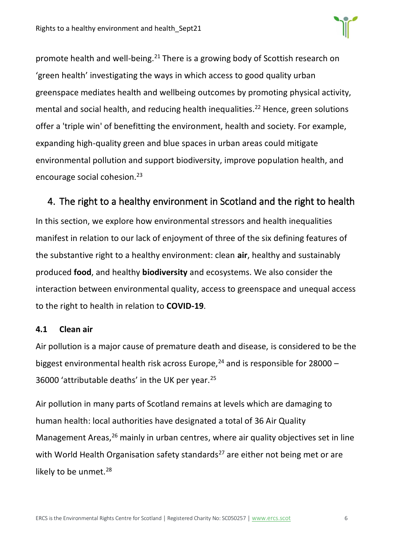

promote health and well-being.<sup>21</sup> There is a growing body of Scottish research on 'green health' investigating the ways in which access to good quality urban greenspace mediates health and wellbeing outcomes by promoting physical activity, mental and social health, and reducing health inequalities.<sup>22</sup> Hence, green solutions offer a 'triple win' of benefitting the environment, health and society. For example, expanding high-quality green and blue spaces in urban areas could mitigate environmental pollution and support biodiversity, improve population health, and encourage social cohesion.<sup>23</sup>

# <span id="page-5-0"></span>4. The right to a healthy environment in Scotland and the right to health

In this section, we explore how environmental stressors and health inequalities manifest in relation to our lack of enjoyment of three of the six defining features of the substantive right to a healthy environment: clean **air**, healthy and sustainably produced **food**, and healthy **biodiversity** and ecosystems. We also consider the interaction between environmental quality, access to greenspace and unequal access to the right to health in relation to **COVID-19**.

#### <span id="page-5-1"></span>**4.1 Clean air**

Air pollution is a major cause of premature death and disease, is considered to be the biggest environmental health risk across Europe,<sup>24</sup> and is responsible for 28000 – 36000 'attributable deaths' in the UK per year.<sup>25</sup>

Air pollution in many parts of Scotland remains at levels which are damaging to human health: local authorities have designated a total of 36 Air Quality Management Areas,<sup>26</sup> mainly in urban centres, where air quality objectives set in line with World Health Organisation safety standards<sup>27</sup> are either not being met or are likely to be unmet.<sup>28</sup>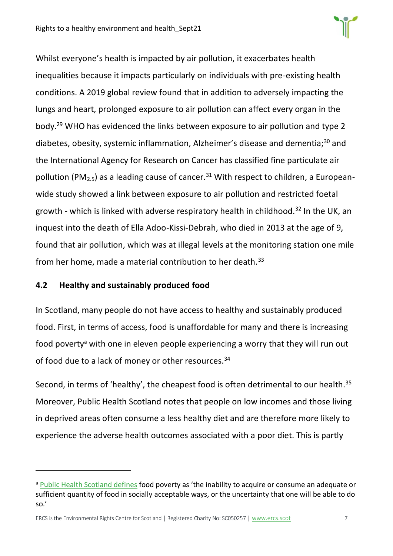

Whilst everyone's health is impacted by air pollution, it exacerbates health inequalities because it impacts particularly on individuals with pre-existing health conditions. A 2019 global review found that in addition to adversely impacting the lungs and heart, prolonged exposure to air pollution can affect every organ in the body.<sup>29</sup> WHO has evidenced the links between exposure to air pollution and type 2 diabetes, obesity, systemic inflammation, Alzheimer's disease and dementia;<sup>30</sup> and the International Agency for Research on Cancer has classified fine particulate air pollution (PM<sub>2.5</sub>) as a leading cause of cancer.<sup>31</sup> With respect to children, a Europeanwide study showed a link between exposure to air pollution and restricted foetal growth - which is linked with adverse respiratory health in childhood.<sup>32</sup> In the UK, an inquest into the death of Ella Adoo-Kissi-Debrah, who died in 2013 at the age of 9, found that air pollution, which was at illegal levels at the monitoring station one mile from her home, made a material contribution to her death.<sup>33</sup>

#### <span id="page-6-0"></span>**4.2 Healthy and sustainably produced food**

In Scotland, many people do not have access to healthy and sustainably produced food. First, in terms of access, food is unaffordable for many and there is increasing food poverty<sup>a</sup> with one in eleven people experiencing a worry that they will run out of food due to a lack of money or other resources.<sup>34</sup>

Second, in terms of 'healthy', the cheapest food is often detrimental to our health.<sup>35</sup> Moreover, Public Health Scotland notes that people on low incomes and those living in deprived areas often consume a less healthy diet and are therefore more likely to experience the adverse health outcomes associated with a poor diet. This is partly

a [Public Health Scotland defines](http://www.healthscotland.scot/health-inequalities/fundamental-causes/poverty/food-poverty) food poverty as 'the inability to acquire or consume an adequate or sufficient quantity of food in socially acceptable ways, or the uncertainty that one will be able to do so.'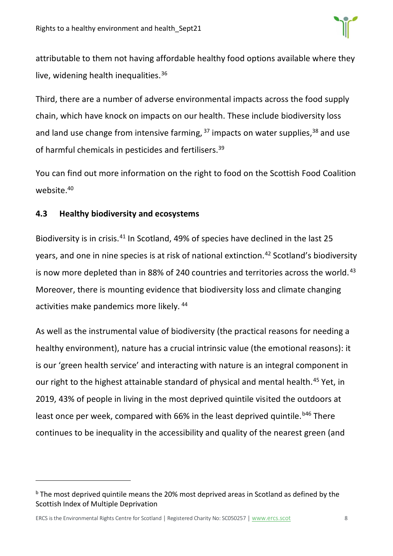attributable to them not having affordable healthy food options available where they live, widening health inequalities.<sup>36</sup>

Third, there are a number of adverse environmental impacts across the food supply chain, which have knock on impacts on our health. These include biodiversity loss and land use change from intensive farming,  $37$  impacts on water supplies,  $38$  and use of harmful chemicals in pesticides and fertilisers.<sup>39</sup>

You can find out more information on the right to food on the Scottish Food Coalition website. 40

#### <span id="page-7-0"></span>**4.3 Healthy biodiversity and ecosystems**

Biodiversity is in crisis.<sup>41</sup> In Scotland, 49% of species have declined in the last 25 years, and one in nine species is at risk of national extinction.<sup>42</sup> Scotland's biodiversity is now more depleted than in 88% of 240 countries and territories across the world.<sup>43</sup> Moreover, there is mounting evidence that biodiversity loss and climate changing activities make pandemics more likely. <sup>44</sup>

As well as the instrumental value of biodiversity (the practical reasons for needing a healthy environment), nature has a crucial intrinsic value (the emotional reasons): it is our 'green health service' and interacting with nature is an integral component in our right to the highest attainable standard of physical and mental health.<sup>45</sup> Yet, in 2019, 43% of people in living in the most deprived quintile visited the outdoors at least once per week, compared with 66% in the least deprived quintile.<sup>b46</sup> There continues to be inequality in the accessibility and quality of the nearest green (and

<sup>&</sup>lt;sup>b</sup> The most deprived quintile means the 20% most deprived areas in Scotland as defined by the Scottish Index of Multiple Deprivation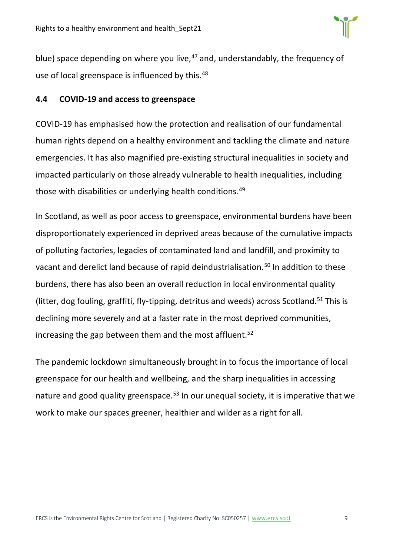

blue) space depending on where you live, $47$  and, understandably, the frequency of use of local greenspace is influenced by this.<sup>48</sup>

#### <span id="page-8-0"></span>**4.4 COVID-19 and access to greenspace**

COVID-19 has emphasised how the protection and realisation of our fundamental human rights depend on a healthy environment and tackling the climate and nature emergencies. It has also magnified pre-existing structural inequalities in society and impacted particularly on those already vulnerable to health inequalities, including those with disabilities or underlying health conditions.<sup>49</sup>

In Scotland, as well as poor access to greenspace, environmental burdens have been disproportionately experienced in deprived areas because of the cumulative impacts of polluting factories, legacies of contaminated land and landfill, and proximity to vacant and derelict land because of rapid deindustrialisation.<sup>50</sup> In addition to these burdens, there has also been an overall reduction in local environmental quality (litter, dog fouling, graffiti, fly-tipping, detritus and weeds) across Scotland.<sup>51</sup> This is declining more severely and at a faster rate in the most deprived communities, increasing the gap between them and the most affluent. $52$ 

The pandemic lockdown simultaneously brought in to focus the importance of local greenspace for our health and wellbeing, and the sharp inequalities in accessing nature and good quality greenspace.<sup>53</sup> In our unequal society, it is imperative that we work to make our spaces greener, healthier and wilder as a right for all.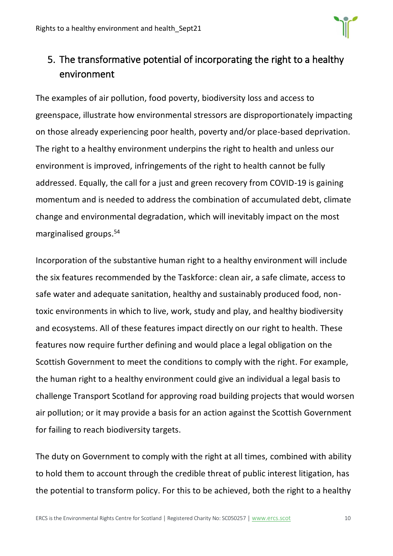

# <span id="page-9-0"></span>5. The transformative potential of incorporating the right to a healthy environment

The examples of air pollution, food poverty, biodiversity loss and access to greenspace, illustrate how environmental stressors are disproportionately impacting on those already experiencing poor health, poverty and/or place-based deprivation. The right to a healthy environment underpins the right to health and unless our environment is improved, infringements of the right to health cannot be fully addressed. Equally, the call for a just and green recovery from COVID-19 is gaining momentum and is needed to address the combination of accumulated debt, climate change and environmental degradation, which will inevitably impact on the most marginalised groups.<sup>54</sup>

Incorporation of the substantive human right to a healthy environment will include the six features recommended by the Taskforce: clean air, a safe climate, access to safe water and adequate sanitation, healthy and sustainably produced food, nontoxic environments in which to live, work, study and play, and healthy biodiversity and ecosystems. All of these features impact directly on our right to health. These features now require further defining and would place a legal obligation on the Scottish Government to meet the conditions to comply with the right. For example, the human right to a healthy environment could give an individual a legal basis to challenge Transport Scotland for approving road building projects that would worsen air pollution; or it may provide a basis for an action against the Scottish Government for failing to reach biodiversity targets.

The duty on Government to comply with the right at all times, combined with ability to hold them to account through the credible threat of public interest litigation, has the potential to transform policy. For this to be achieved, both the right to a healthy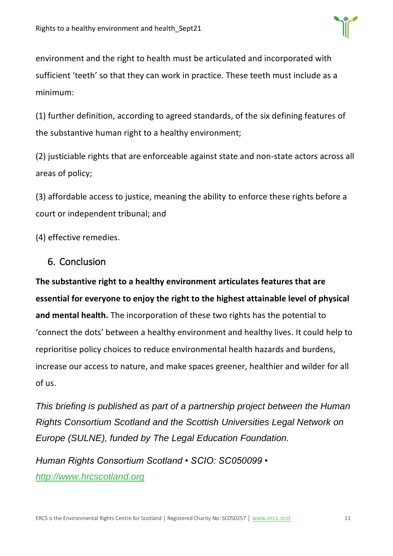

environment and the right to health must be articulated and incorporated with sufficient 'teeth' so that they can work in practice. These teeth must include as a minimum:

(1) further definition, according to agreed standards, of the six defining features of the substantive human right to a healthy environment;

(2) justiciable rights that are enforceable against state and non-state actors across all areas of policy;

(3) affordable access to justice, meaning the ability to enforce these rights before a court or independent tribunal; and

(4) effective remedies.

#### <span id="page-10-0"></span>6. Conclusion

**The substantive right to a healthy environment articulates features that are essential for everyone to enjoy the right to the highest attainable level of physical and mental health.** The incorporation of these two rights has the potential to 'connect the dots' between a healthy environment and healthy lives. It could help to reprioritise policy choices to reduce environmental health hazards and burdens, increase our access to nature, and make spaces greener, healthier and wilder for all of us.

*This briefing is published as part of a partnership project between the Human Rights Consortium Scotland and the Scottish Universities Legal Network on Europe (SULNE), funded by The Legal Education Foundation.*

*Human Rights Consortium Scotland • SCIO: SC050099 • [http://www.hrcscotland.org](http://www.hrcscotland.org/)*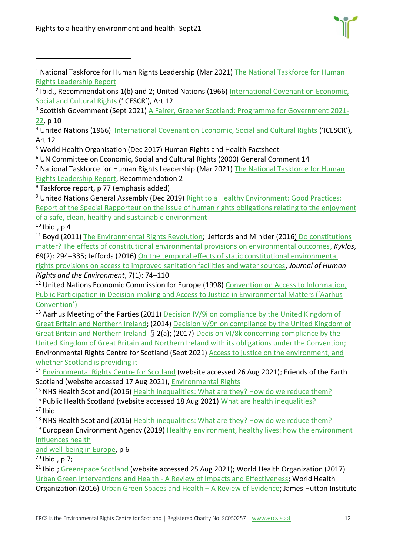

<sup>&</sup>lt;sup>1</sup> National Taskforce for Human Rights Leadership (Mar 2021) The National Taskforce for Human [Rights Leadership Report](https://www.gov.scot/binaries/content/documents/govscot/publications/independent-report/2021/03/national-taskforce-human-rights-leadership-report/documents/national-taskforce-human-rights-leadership-report/national-taskforce-human-rights-leadership-report/govscot%3Adocument/national-taskforce-human-rights-leadership-report.pdf)

<sup>3</sup> Scottish Government (Sept 2021) [A Fairer, Greener Scotland: Programme for Government 2021-](https://www.gov.scot/publications/fairer-greener-scotland-programme-government-2021-22/) [22,](https://www.gov.scot/publications/fairer-greener-scotland-programme-government-2021-22/) p 10

<sup>4</sup> United Nations (1966) [International Covenant on Economic, Social and Cultural Rights](https://www.ohchr.org/en/professionalinterest/pages/cescr.aspx) ('ICESCR'), Art 12

<sup>5</sup> World Health Organisation (Dec 2017) [Human Rights and Health Factsheet](https://www.who.int/news-room/fact-sheets/detail/human-rights-and-health)

<sup>6</sup> UN Committee on Economic, Social and Cultural Rights (2000) [General Comment 14](https://docstore.ohchr.org/SelfServices/FilesHandler.ashx?enc=4slQ6QSmlBEDzFEovLCuW1AVC1NkPsgUedPlF1vfPMJ2c7ey6PAz2qaojTzDJmC0y%2B9t%2BsAtGDNzdEqA6SuP2r0w%2F6sVBGTpvTSCbiOr4XVFTqhQY65auTFbQRPWNDxL)

<sup>7</sup> National Taskforce for Human Rights Leadership (Mar 2021) The National Taskforce for Human [Rights Leadership Report,](https://www.gov.scot/binaries/content/documents/govscot/publications/independent-report/2021/03/national-taskforce-human-rights-leadership-report/documents/national-taskforce-human-rights-leadership-report/national-taskforce-human-rights-leadership-report/govscot%3Adocument/national-taskforce-human-rights-leadership-report.pdf) Recommendation 2

 $8$  Taskforce report, p 77 (emphasis added)

<sup>9</sup> United Nations General Assembly (Dec 2019) Right to a Healthy Environment: Good Practices: [Report of the Special Rapporteur on the issue of human rights obligations relating to the enjoyment](https://undocs.org/A/HRC/43/53)  [of a safe, clean, healthy and sustainable environment](https://undocs.org/A/HRC/43/53)

 $10$  Ibid., p 4

<sup>11</sup> Boyd (2011) [The Environmental Rights Revolution;](https://www.researchgate.net/publication/265725929_The_Environmental_Rights_Revolution_A_Global_Study_of_Constitutions_Human_Rights_and_the_Environment_by_David_R_Boyd_review) Jeffords and Minkler (2016) Do constitutions [matter? The effects of constitutional environmental provisions on environmental outcomes,](https://onlinelibrary.wiley.com/doi/abs/10.1111/kykl.12112) *Kyklos*, 69(2): 294–335; Jeffords (2016) [On the temporal effects of static constitutional environmental](https://www.elgaronline.com/view/journals/jhre/7-1/jhre.2016.01.04.xml)  [rights provisions on access to improved sanitation facilities and water sources,](https://www.elgaronline.com/view/journals/jhre/7-1/jhre.2016.01.04.xml) *Journal of Human Rights and the Environment*, 7(1): 74–110

<sup>12</sup> United Nations Economic Commission for Europe (1998) Convention on Access to Information, [Public Participation in Decision-making and Access to Justic](https://unece.org/environment-policy/public-participation/aarhus-convention/text)e in Environmental Matters ('Aarhus [Convention'\)](https://unece.org/environment-policy/public-participation/aarhus-convention/text)

<sup>13</sup> Aarhus Meeting of the Parties (2011) Decision IV/9i on compliance by the United Kingdom of [Great Britain and Northern Ireland;](https://unece.org/DAM/env/pp/mop4/Documents/Excerpts/Decision_IV-9i_Compliance_by_UK_e.pdf) (2014) [Decision V/9n on compliance by the United Kingdom of](https://unece.org/fileadmin/DAM/env/pp/mop5/Documents/Post_session_docs/Decision_excerpts_in_English/Decision_V_9n_on_compliance_by_the_United_Kingdom_of_Great_Britain_and_Northern_Ireland.pdf)  [Great Britain and Northern Ireland](https://unece.org/fileadmin/DAM/env/pp/mop5/Documents/Post_session_docs/Decision_excerpts_in_English/Decision_V_9n_on_compliance_by_the_United_Kingdom_of_Great_Britain_and_Northern_Ireland.pdf) § 2(a); (2017) [Decision VI/8k concerning compliance by the](https://unece.org/fileadmin/DAM/env/pp/mop6/in-session_docs/ECE_MP.PP_2017_CRP.6_E_United_Kingdom.pdf)  [United Kingdom of Great Britain and Northern Ireland with its obligations under the Convention;](https://unece.org/fileadmin/DAM/env/pp/mop6/in-session_docs/ECE_MP.PP_2017_CRP.6_E_United_Kingdom.pdf) Environmental Rights Centre for Scotland (Sept 2021) [Access to justice on the environment, and](https://www.ercs.scot/wp/wp-content/uploads/2021/09/Access_to_environmental_justice_Sept21_v4-1.pdf)  [whether Scotland is providing it](https://www.ercs.scot/wp/wp-content/uploads/2021/09/Access_to_environmental_justice_Sept21_v4-1.pdf)

<sup>14</sup> [Environmental Rights Centre for Scotland](https://www.ercs.scot/) (website accessed 26 Aug 2021); Friends of the Earth Scotland (website accessed 17 Aug 2021), [Environmental Rights](https://foe.scot/campaign/environmental-rights/)

<sup>15</sup> NHS Health Scotland (2016) [Health inequalities: What are they? How do we reduce them?](http://www.healthscotland.scot/media/1086/health-inequalities-what-are-they-how-do-we-reduce-them-mar16.pdf)

<sup>16</sup> Public Health Scotland (website accessed 18 Aug 2021) [What are health inequalities?](http://www.healthscotland.scot/health-inequalities/what-are-health-inequalities)  $17$  Ibid.

<sup>18</sup> NHS Health Scotland (2016) [Health inequalities: What are they? How do we reduce them?](http://www.healthscotland.scot/media/1086/health-inequalities-what-are-they-how-do-we-reduce-them-mar16.pdf)

<sup>19</sup> European Environment Agency (2019) Healthy environment, healthy lives: how the environment [influences health](https://www.eea.europa.eu/publications/healthy-environment-healthy-lives)

[and well-being in Europe,](https://www.eea.europa.eu/publications/healthy-environment-healthy-lives) p 6

 $20$  Ibid., p 7:

<sup>21</sup> Ibid.; [Greenspace Scotland](https://www.greenspacescotland.org.uk/) (website accessed 25 Aug 2021); World Health Organization (2017) [Urban Green Interventions and Health -](http://www.euro.who.int/en/health-topics/environment-and-health/urban-health/publications/2017/urban-green-space-interventions-and-health-a-review-of-impacts-and-effectiveness.-full-report-2017) A Review of Impacts and Effectiveness; World Health Organization (2016) [Urban Green Spaces and Health](http://www.euro.who.int/en/health-topics/environment-and-health/urban-health/publications/2016/urban-green-spaces-and-health-a-review-of-evidence-2016) – A Review of Evidence; James Hutton Institute

<sup>&</sup>lt;sup>2</sup> Ibid., Recommendations 1(b) and 2; United Nations (1966) International Covenant on Economic, [Social and Cultural Rights](https://www.ohchr.org/en/professionalinterest/pages/cescr.aspx) ('ICESCR'), Art 12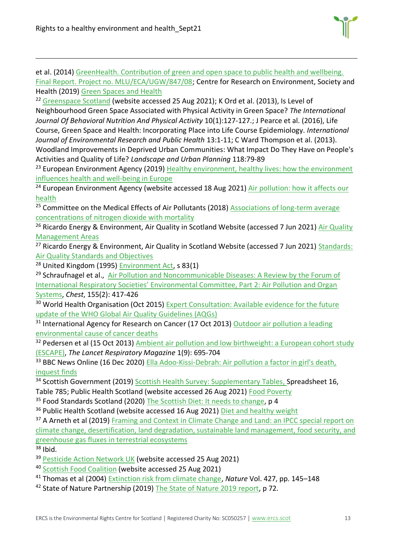et al. (2014) [GreenHealth. Contribution of green and open space to public health and wellbeing.](https://www.hutton.ac.uk/research/projects/green-health.)  [Final Report. Project no. MLU/ECA/UGW/847/08;](https://www.hutton.ac.uk/research/projects/green-health.) Centre for Research on Environment, Society and Health (2019) [Green Spaces and Health](https://cresh.org.uk/cresh-themes/green-spaces-and-health/)

<sup>22</sup> [Greenspace Scotland](https://www.greenspacescotland.org.uk/) (website accessed 25 Aug 2021); K Ord et al. (2013), Is Level of Neighbourhood Green Space Associated with Physical Activity in Green Space? *The International Journal Of Behavioral Nutrition And Physical Activity* 10(1):127-127.; J Pearce et al. (2016), Life Course, Green Space and Health: Incorporating Place into Life Course Epidemiology. *International Journal of Environmental Research and Public Health* 13:1-11; C Ward Thompson et al. (2013). Woodland Improvements in Deprived Urban Communities: What Impact Do They Have on People's Activities and Quality of Life? *Landscape and Urban Planning* 118:79-89

<sup>23</sup> European Environment Agency (2019) Healthy environment, healthy lives: how the environment influences health [and well-being in Europe](https://www.eea.europa.eu/publications/healthy-environment-healthy-lives)

<sup>24</sup> European Environment Agency (website accessed 18 Aug 2021) Air pollution: how it affects our [health](https://www.eea.europa.eu/themes/air/health-impacts-of-air-pollution)

<sup>25</sup> Committee on the Medical Effects of Air Pollutants (2018) **Associations of long-term average** concentrations of [nitrogen dioxide with mortality](https://assets.publishing.service.gov.uk/government/uploads/system/uploads/attachment_data/file/734799/COMEAP_NO2_Report.pdf)

<sup>26</sup> Ricardo Energy & Environment, [Air Quality](http://www.scottishairquality.scot/laqm/aqma) in Scotland Website (accessed 7 Jun 2021) Air Quality [Management Areas](http://www.scottishairquality.scot/laqm/aqma)

<sup>27</sup> Ricardo Energy & Environment, Air Quality in Scotland Website (accessed 7 Jun 2021) Standards: [Air Quality Standards and Objectives](http://www.scottishairquality.scot/air-quality/standards)

<sup>28</sup> United Kingdom (1995) [Environment Act,](https://www.legislation.gov.uk/ukpga/1995/25/contents) s 83(1)

<sup>29</sup> Schraufnagel et al., Air Pollution and Noncommunicable Diseases: A Review by the Forum of International Respirat[ory Societies' Environmental Committee, Part 2: Air Pollution and Organ](https://www.ncbi.nlm.nih.gov/pmc/articles/PMC6904854/)  [Systems,](https://www.ncbi.nlm.nih.gov/pmc/articles/PMC6904854/) *Chest*, 155(2): 417-426

<sup>30</sup> World Health Organisation (Oct 2015) Expert Consultation: Available evidence for the future [update of the WHO Global Air Quality Guidelines \(AQGs\)](https://www.euro.who.int/__data/assets/pdf_file/0013/301720/Evidence-future-update-AQGs-mtg-report-Bonn-sept-oct-15.pdf) 

 $31$  International Agency for Research on Cancer (17 Oct 2013) Outdoor air pollution a leading [environmental cause of cancer deaths](https://www.iarc.who.int/news-events/iarc-outdoor-air-pollution-a-leading-environmental-cause-of-cancer-deaths/)

<sup>32</sup> Pedersen et al (15 Oct 2013) Ambient air pollution and low birthweight: a European cohort study [\(ESCAPE\),](https://www.thelancet.com/journals/lanres/article/PIIS2213-2600(13)70192-9/fulltext) *The Lancet Respiratory Magazine* 1(9): 695-704

<sup>33</sup> BBC News Online (16 Dec 2020) Ella Adoo-Kissi-Debrah: Air pollution a factor in girl's death, [inquest finds](https://www.bbc.co.uk/news/uk-england-london-55330945)

<sup>34</sup> Scottish Government (2019) [Scottish Health Survey: Supplementary Tables,](https://www.gov.scot/publications/scottish-health-survey-2019-supplementary-tables/) Spreadsheet 16, Table 785; Public Health Scotland (website accessed 26 Aug 2021) [Food Poverty](http://www.healthscotland.scot/health-inequalities/fundamental-causes/poverty/food-poverty)

<sup>35</sup> Food Standards Scotland (2020) [The Scottish Diet: It needs to change,](https://www.foodstandards.gov.scot/downloads/Situation_Report_-_The_Scottish_Diet_It_Needs_to_Change_%282020_update%29.pdf) p 4

<sup>36</sup> Public Health Scotland (website accessed 16 Aug 2021) [Diet and healthy weight](http://www.healthscotland.scot/health-topics/diet-and-healthy-weight/food-and-diet)

<sup>37</sup> A Arneth et al (2019) Framing and Context in Climate Change and Land: an IPCC special report on [climate change, desertification, land degradation, sustainable land management, food security, and](https://www.ipcc.ch/site/assets/uploads/sites/4/2019/12/04_Chapter-1.pdf#page=3)  [greenhouse gas fluxes in terrestrial ecosystems](https://www.ipcc.ch/site/assets/uploads/sites/4/2019/12/04_Chapter-1.pdf#page=3)

 $38$  Ibid.

<sup>39</sup> [Pesticide Action Network UK](https://www.pan-uk.org/pesticides-agriculture-uk/) (website accessed 25 Aug 2021)

<sup>40</sup> [Scottish Food Coalition](https://www.foodcoalition.scot/) (website accessed 25 Aug 2021)

<sup>41</sup> Thomas et al (2004) [Extinction risk from climate change,](https://www.nature.com/articles/nature02121) *Nature* Vol. 427, pp. 145–148

<sup>42</sup> State of Nature Partnership (2019) [The State of Nature 2019 report,](https://nbn.org.uk/wp-content/uploads/2019/09/State-of-Nature-2019-UK-full-report.pdf) p 72.